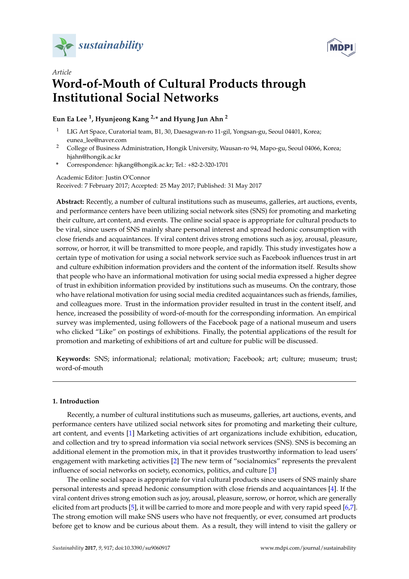



# *Article* **Word-of-Mouth of Cultural Products through Institutional Social Networks**

# **Eun Ea Lee <sup>1</sup> , Hyunjeong Kang 2,\* and Hyung Jun Ahn <sup>2</sup>**

- <sup>1</sup> LIG Art Space, Curatorial team, B1, 30, Daesagwan-ro 11-gil, Yongsan-gu, Seoul 04401, Korea; eunea\_lee@naver.com
- <sup>2</sup> College of Business Administration, Hongik University, Wausan-ro 94, Mapo-gu, Seoul 04066, Korea; hjahn@hongik.ac.kr
- **\*** Correspondence: hjkang@hongik.ac.kr; Tel.: +82-2-320-1701

Academic Editor: Justin O'Connor

Received: 7 February 2017; Accepted: 25 May 2017; Published: 31 May 2017

**Abstract:** Recently, a number of cultural institutions such as museums, galleries, art auctions, events, and performance centers have been utilizing social network sites (SNS) for promoting and marketing their culture, art content, and events. The online social space is appropriate for cultural products to be viral, since users of SNS mainly share personal interest and spread hedonic consumption with close friends and acquaintances. If viral content drives strong emotions such as joy, arousal, pleasure, sorrow, or horror, it will be transmitted to more people, and rapidly. This study investigates how a certain type of motivation for using a social network service such as Facebook influences trust in art and culture exhibition information providers and the content of the information itself. Results show that people who have an informational motivation for using social media expressed a higher degree of trust in exhibition information provided by institutions such as museums. On the contrary, those who have relational motivation for using social media credited acquaintances such as friends, families, and colleagues more. Trust in the information provider resulted in trust in the content itself, and hence, increased the possibility of word-of-mouth for the corresponding information. An empirical survey was implemented, using followers of the Facebook page of a national museum and users who clicked "Like" on postings of exhibitions. Finally, the potential applications of the result for promotion and marketing of exhibitions of art and culture for public will be discussed.

**Keywords:** SNS; informational; relational; motivation; Facebook; art; culture; museum; trust; word-of-mouth

# **1. Introduction**

Recently, a number of cultural institutions such as museums, galleries, art auctions, events, and performance centers have utilized social network sites for promoting and marketing their culture, art content, and events [\[1\]](#page-12-0) Marketing activities of art organizations include exhibition, education, and collection and try to spread information via social network services (SNS). SNS is becoming an additional element in the promotion mix, in that it provides trustworthy information to lead users' engagement with marketing activities [\[2\]](#page-12-1) The new term of "socialnomics" represents the prevalent influence of social networks on society, economics, politics, and culture [\[3\]](#page-13-0)

The online social space is appropriate for viral cultural products since users of SNS mainly share personal interests and spread hedonic consumption with close friends and acquaintances [\[4\]](#page-13-1). If the viral content drives strong emotion such as joy, arousal, pleasure, sorrow, or horror, which are generally elicited from art products [\[5\]](#page-13-2), it will be carried to more and more people and with very rapid speed [\[6](#page-13-3)[,7\]](#page-13-4). The strong emotion will make SNS users who have not frequently, or ever, consumed art products before get to know and be curious about them. As a result, they will intend to visit the gallery or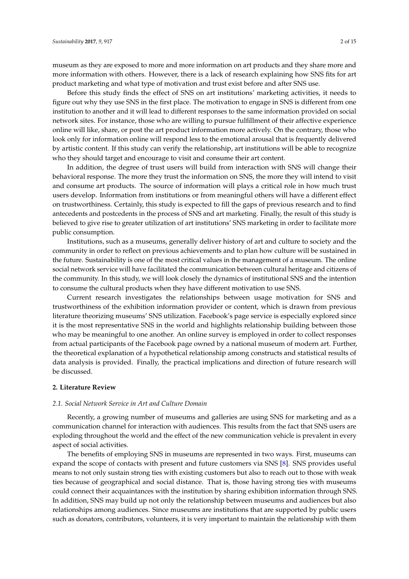museum as they are exposed to more and more information on art products and they share more and more information with others. However, there is a lack of research explaining how SNS fits for art product marketing and what type of motivation and trust exist before and after SNS use.

Before this study finds the effect of SNS on art institutions' marketing activities, it needs to figure out why they use SNS in the first place. The motivation to engage in SNS is different from one institution to another and it will lead to different responses to the same information provided on social network sites. For instance, those who are willing to pursue fulfillment of their affective experience online will like, share, or post the art product information more actively. On the contrary, those who look only for information online will respond less to the emotional arousal that is frequently delivered by artistic content. If this study can verify the relationship, art institutions will be able to recognize who they should target and encourage to visit and consume their art content.

In addition, the degree of trust users will build from interaction with SNS will change their behavioral response. The more they trust the information on SNS, the more they will intend to visit and consume art products. The source of information will plays a critical role in how much trust users develop. Information from institutions or from meaningful others will have a different effect on trustworthiness. Certainly, this study is expected to fill the gaps of previous research and to find antecedents and postcedents in the process of SNS and art marketing. Finally, the result of this study is believed to give rise to greater utilization of art institutions' SNS marketing in order to facilitate more public consumption.

Institutions, such as a museums, generally deliver history of art and culture to society and the community in order to reflect on previous achievements and to plan how culture will be sustained in the future. Sustainability is one of the most critical values in the management of a museum. The online social network service will have facilitated the communication between cultural heritage and citizens of the community. In this study, we will look closely the dynamics of institutional SNS and the intention to consume the cultural products when they have different motivation to use SNS.

Current research investigates the relationships between usage motivation for SNS and trustworthiness of the exhibition information provider or content, which is drawn from previous literature theorizing museums' SNS utilization. Facebook's page service is especially explored since it is the most representative SNS in the world and highlights relationship building between those who may be meaningful to one another. An online survey is employed in order to collect responses from actual participants of the Facebook page owned by a national museum of modern art. Further, the theoretical explanation of a hypothetical relationship among constructs and statistical results of data analysis is provided. Finally, the practical implications and direction of future research will be discussed.

## **2. Literature Review**

## *2.1. Social Network Service in Art and Culture Domain*

Recently, a growing number of museums and galleries are using SNS for marketing and as a communication channel for interaction with audiences. This results from the fact that SNS users are exploding throughout the world and the effect of the new communication vehicle is prevalent in every aspect of social activities.

The benefits of employing SNS in museums are represented in two ways. First, museums can expand the scope of contacts with present and future customers via SNS [\[8\]](#page-13-5). SNS provides useful means to not only sustain strong ties with existing customers but also to reach out to those with weak ties because of geographical and social distance. That is, those having strong ties with museums could connect their acquaintances with the institution by sharing exhibition information through SNS. In addition, SNS may build up not only the relationship between museums and audiences but also relationships among audiences. Since museums are institutions that are supported by public users such as donators, contributors, volunteers, it is very important to maintain the relationship with them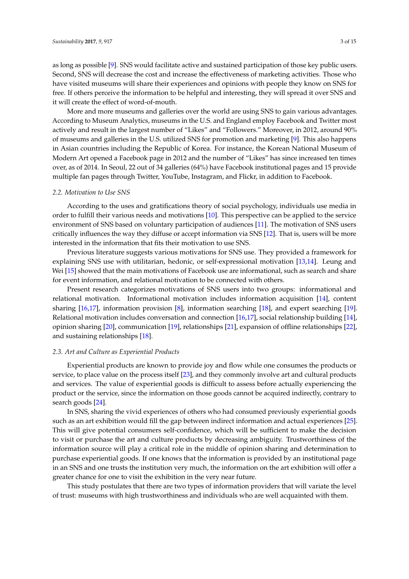as long as possible [\[9\]](#page-13-6). SNS would facilitate active and sustained participation of those key public users. Second, SNS will decrease the cost and increase the effectiveness of marketing activities. Those who have visited museums will share their experiences and opinions with people they know on SNS for free. If others perceive the information to be helpful and interesting, they will spread it over SNS and it will create the effect of word-of-mouth.

More and more museums and galleries over the world are using SNS to gain various advantages. According to Museum Analytics, museums in the U.S. and England employ Facebook and Twitter most actively and result in the largest number of "Likes" and "Followers." Moreover, in 2012, around 90% of museums and galleries in the U.S. utilized SNS for promotion and marketing [\[9\]](#page-13-6). This also happens in Asian countries including the Republic of Korea. For instance, the Korean National Museum of Modern Art opened a Facebook page in 2012 and the number of "Likes" has since increased ten times over, as of 2014. In Seoul, 22 out of 34 galleries (64%) have Facebook institutional pages and 15 provide multiple fan pages through Twitter, YouTube, Instagram, and Flickr, in addition to Facebook.

#### *2.2. Motivation to Use SNS*

According to the uses and gratifications theory of social psychology, individuals use media in order to fulfill their various needs and motivations [\[10\]](#page-13-7). This perspective can be applied to the service environment of SNS based on voluntary participation of audiences [\[11\]](#page-13-8). The motivation of SNS users critically influences the way they diffuse or accept information via SNS [\[12\]](#page-13-9). That is, users will be more interested in the information that fits their motivation to use SNS.

Previous literature suggests various motivations for SNS use. They provided a framework for explaining SNS use with utilitarian, hedonic, or self-expressional motivation [\[13,](#page-13-10)[14\]](#page-13-11). Leung and Wei [\[15\]](#page-13-12) showed that the main motivations of Facebook use are informational, such as search and share for event information, and relational motivation to be connected with others.

Present research categorizes motivations of SNS users into two groups: informational and relational motivation. Informational motivation includes information acquisition [\[14\]](#page-13-11), content sharing [\[16,](#page-13-13)[17\]](#page-13-14), information provision [\[8\]](#page-13-5), information searching [\[18\]](#page-13-15), and expert searching [\[19\]](#page-13-16). Relational motivation includes conversation and connection [\[16,](#page-13-13)[17\]](#page-13-14), social relationship building [\[14\]](#page-13-11), opinion sharing [\[20\]](#page-13-17), communication [\[19\]](#page-13-16), relationships [\[21\]](#page-13-18), expansion of offline relationships [\[22\]](#page-13-19), and sustaining relationships [\[18\]](#page-13-15).

## *2.3. Art and Culture as Experiential Products*

Experiential products are known to provide joy and flow while one consumes the products or service, to place value on the process itself [\[23\]](#page-13-20), and they commonly involve art and cultural products and services. The value of experiential goods is difficult to assess before actually experiencing the product or the service, since the information on those goods cannot be acquired indirectly, contrary to search goods [\[24\]](#page-13-21).

In SNS, sharing the vivid experiences of others who had consumed previously experiential goods such as an art exhibition would fill the gap between indirect information and actual experiences [\[25\]](#page-13-22). This will give potential consumers self-confidence, which will be sufficient to make the decision to visit or purchase the art and culture products by decreasing ambiguity. Trustworthiness of the information source will play a critical role in the middle of opinion sharing and determination to purchase experiential goods. If one knows that the information is provided by an institutional page in an SNS and one trusts the institution very much, the information on the art exhibition will offer a greater chance for one to visit the exhibition in the very near future.

This study postulates that there are two types of information providers that will variate the level of trust: museums with high trustworthiness and individuals who are well acquainted with them.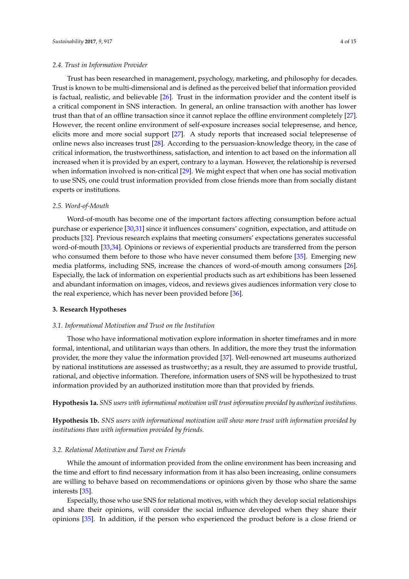Trust has been researched in management, psychology, marketing, and philosophy for decades. Trust is known to be multi-dimensional and is defined as the perceived belief that information provided is factual, realistic, and believable [\[26\]](#page-13-23). Trust in the information provider and the content itself is a critical component in SNS interaction. In general, an online transaction with another has lower trust than that of an offline transaction since it cannot replace the offline environment completely [\[27\]](#page-13-24). However, the recent online environment of self-exposure increases social telepresense, and hence, elicits more and more social support [\[27\]](#page-13-24). A study reports that increased social telepresense of online news also increases trust [\[28\]](#page-13-25). According to the persuasion-knowledge theory, in the case of critical information, the trustworthiness, satisfaction, and intention to act based on the information all increased when it is provided by an expert, contrary to a layman. However, the relationship is reversed when information involved is non-critical [\[29\]](#page-14-0). We might expect that when one has social motivation to use SNS, one could trust information provided from close friends more than from socially distant experts or institutions.

#### *2.5. Word-of-Mouth*

Word-of-mouth has become one of the important factors affecting consumption before actual purchase or experience [\[30,](#page-14-1)[31\]](#page-14-2) since it influences consumers' cognition, expectation, and attitude on products [\[32\]](#page-14-3). Previous research explains that meeting consumers' expectations generates successful word-of-mouth [\[33,](#page-14-4)[34\]](#page-14-5). Opinions or reviews of experiential products are transferred from the person who consumed them before to those who have never consumed them before [\[35\]](#page-14-6). Emerging new media platforms, including SNS, increase the chances of word-of-mouth among consumers [\[26\]](#page-13-23). Especially, the lack of information on experiential products such as art exhibitions has been lessened and abundant information on images, videos, and reviews gives audiences information very close to the real experience, which has never been provided before [\[36\]](#page-14-7).

#### **3. Research Hypotheses**

#### *3.1. Informational Motivation and Trust on the Institution*

Those who have informational motivation explore information in shorter timeframes and in more formal, intentional, and utilitarian ways than others. In addition, the more they trust the information provider, the more they value the information provided [\[37\]](#page-14-8). Well-renowned art museums authorized by national institutions are assessed as trustworthy; as a result, they are assumed to provide trustful, rational, and objective information. Therefore, information users of SNS will be hypothesized to trust information provided by an authorized institution more than that provided by friends.

**Hypothesis 1a.** *SNS users with informational motivation will trust information provided by authorized institutions.*

**Hypothesis 1b.** *SNS users with informational motivation will show more trust with information provided by institutions than with information provided by friends.*

#### *3.2. Relational Motivation and Turst on Friends*

While the amount of information provided from the online environment has been increasing and the time and effort to find necessary information from it has also been increasing, online consumers are willing to behave based on recommendations or opinions given by those who share the same interests [\[35\]](#page-14-6).

Especially, those who use SNS for relational motives, with which they develop social relationships and share their opinions, will consider the social influence developed when they share their opinions [\[35\]](#page-14-6). In addition, if the person who experienced the product before is a close friend or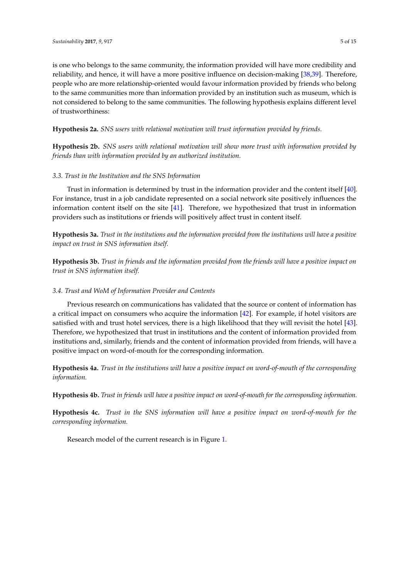is one who belongs to the same community, the information provided will have more credibility and reliability, and hence, it will have a more positive influence on decision-making [\[38,](#page-14-9)[39\]](#page-14-10). Therefore, people who are more relationship-oriented would favour information provided by friends who belong to the same communities more than information provided by an institution such as museum, which is not considered to belong to the same communities. The following hypothesis explains different level of trustworthiness:

**Hypothesis 2a.** *SNS users with relational motivation will trust information provided by friends.*

**Hypothesis 2b.** *SNS users with relational motivation will show more trust with information provided by friends than with information provided by an authorized institution.*

# *3.3. Trust in the Institution and the SNS Information*

Trust in information is determined by trust in the information provider and the content itself [\[40\]](#page-14-11). For instance, trust in a job candidate represented on a social network site positively influences the information content itself on the site [\[41\]](#page-14-12). Therefore, we hypothesized that trust in information providers such as institutions or friends will positively affect trust in content itself.

**Hypothesis 3a.** *Trust in the institutions and the information provided from the institutions will have a positive impact on trust in SNS information itself.*

**Hypothesis 3b.** *Trust in friends and the information provided from the friends will have a positive impact on trust in SNS information itself.*

# *3.4. Trust and WoM of Information Provider and Contents*

Previous research on communications has validated that the source or content of information has a critical impact on consumers who acquire the information [\[42\]](#page-14-13). For example, if hotel visitors are satisfied with and trust hotel services, there is a high likelihood that they will revisit the hotel [\[43\]](#page-14-14). Therefore, we hypothesized that trust in institutions and the content of information provided from institutions and, similarly, friends and the content of information provided from friends, will have a positive impact on word-of-mouth for the corresponding information.

**Hypothesis 4a.** *Trust in the institutions will have a positive impact on word-of-mouth of the corresponding information.*

**Hypothesis 4b.** *Trust in friends will have a positive impact on word-of-mouth for the corresponding information.*

**Hypothesis 4c.** *Trust in the SNS information will have a positive impact on word-of-mouth for the corresponding information.*

Research model of the current research is in Figure [1.](#page-5-0)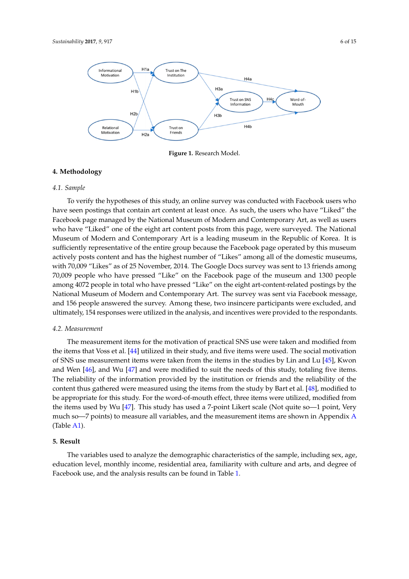<span id="page-5-0"></span>

**Figure 1.** Research Model. **Figure 1.** Research Model.

#### **4. Methodology**

#### *4.1. Sample*

To verify the hypotheses of this study, an online survey was conducted with Facebook users who have seen postings that contain art content at least once. As such, the users who have "Liked" the Facebook page managed by the National Museum of Modern and Contemporary Art, as well as users who have "Liked" one of the eight art content posts from this page, were surveyed. The National Museum of Modern and Contemporary Art is a leading museum in the Republic of Korea. It is sufficiently representative of the entire group because the Facebook page operated by this museum actively posts content and has the highest number of "Likes" among all of the domestic museums, with 70,009 "Likes" as of 25 November, 2014. The Google Docs survey was sent to 13 friends among 70,009 people who have pressed "Like" on the Facebook page of the museum and 1300 people among 4072 people in total who have pressed "Like" on the eight art-content-related postings by the National Museum of Modern and Contemporary Art. The survey was sent via Facebook message, and 156 people answered the survey. Among these, two insincere participants were excluded, and ultimately, 154 responses were utilized in the analysis, and incentives were provided to the respondants.

#### *4.2. Measurement*

The measurement items for the motivation of practical SNS use were taken and modified from the items that Voss et al. [\[44\]](#page-14-15) utilized in their study, and five items were used. The social motivation of SNS use measurement items were taken from the items in the studies by Lin and Lu [\[45\]](#page-14-16), Kwon and Wen [\[46\]](#page-14-17), and Wu [\[47\]](#page-14-18) and were modified to suit the needs of this study, totaling five items. The reliability of the information provided by the institution or friends and the reliability of the content thus gathered were measured using the items from the study by Bart et al. [\[48\]](#page-14-19), modified to be appropriate for this study. For the word-of-mouth effect, three items were utilized, modified from the items used by Wu [\[47\]](#page-14-18). This study has used a 7-point Likert scale (Not quite so—1 point, Very much so—7 points) to measure all variables, and the measurement items are shown in Appendix [A](#page-12-2) (Table [A1\)](#page-12-3).

#### **5. Result**

The variables used to analyze the demographic characteristics of the sample, including sex, age, education level, monthly income, residential area, familiarity with culture and arts, and degree of Facebook use, and the analysis results can be found in Table [1.](#page-6-0)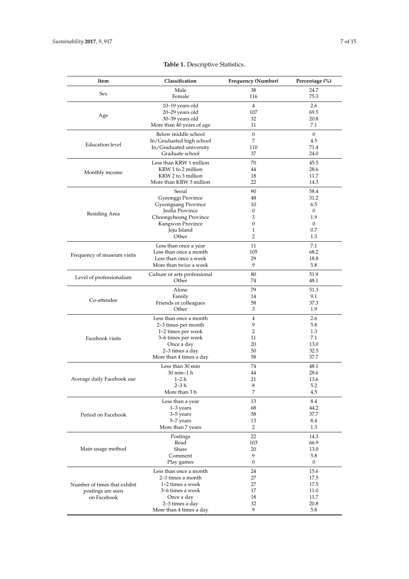<span id="page-6-0"></span>

| Item                         | Classification                              | <b>Frequency (Number)</b><br>Percentage (%) |                  |
|------------------------------|---------------------------------------------|---------------------------------------------|------------------|
| Sex                          | Male                                        | 38                                          | 24.7             |
|                              | Female                                      | 116                                         | 75.3             |
|                              | $10-19$ years old                           | $\overline{4}$                              | 2.6              |
| Age                          | 20-29 years old                             | 107                                         | 69.5             |
|                              | 30-39 years old                             | 32                                          | 20.8             |
|                              | More than 40 years of age                   | 11                                          | 7.1              |
|                              | Below middle school                         | $\boldsymbol{0}$                            | $\overline{0}$   |
| <b>Education</b> level       | In/Graduated high school                    | 7                                           | 4.5              |
|                              | In/Graduated university                     | 110                                         | 71.4             |
|                              | Graduate school                             | 37                                          | 24.0             |
|                              | Less than KRW 1 million                     | 70                                          | 45.5             |
| Monthly income               | KRW 1 to 2 million                          | 44                                          | 28.6             |
|                              | KRW 2 to 3 million                          | 18                                          | 11.7             |
|                              | More than KRW 3 million                     | 22                                          | 14.3             |
|                              | Seoul                                       | 90                                          | 58.4             |
|                              | Gyeonggi Province                           | 48                                          | 31.2             |
|                              | Gyeongsang Province                         | 10                                          | 6.5              |
| Residing Area                | Jeolla Province                             | 0                                           | $\boldsymbol{0}$ |
|                              | Choongcheong Province                       | 3                                           | 1.9              |
|                              | Kangwon Province                            | 0                                           | $\mathbf{0}$     |
|                              | Jeju Island<br>Other                        | 1<br>2                                      | 0.7<br>1.3       |
|                              |                                             |                                             |                  |
|                              | Less than once a year                       | 11                                          | 7.1              |
| Frequency of museum visits   | Less than once a month                      | 105                                         | 68.2             |
|                              | Less than once a week                       | 29                                          | 18.8             |
|                              | More than twice a week                      | 9                                           | 5.8              |
| Level of professionalism     | Culture or arts professional                | 80                                          | 51.9             |
|                              | Other                                       | 74                                          | 48.1             |
|                              | Alone                                       | 79                                          | 51.3             |
|                              | Family                                      | 14                                          | 9.1              |
| Co-attendee                  | Friends or colleagues                       | 58                                          | 37.3             |
|                              | Other                                       | 3                                           | 1.9              |
|                              | Less than once a month                      | $\overline{4}$                              | 2.6              |
|                              | 2–3 times per month                         | 9                                           | 5.8              |
|                              | 1–2 times per week                          | 2                                           | 1.3              |
| Facebook visits              | 3-6 times per week                          | 11                                          | 7.1              |
|                              | Once a day                                  | 20                                          | 13.0             |
|                              | 2-3 times a day                             | 50<br>58                                    | 32.5<br>37.7     |
|                              | More than 4 times a day                     |                                             |                  |
|                              | Less than 30 min                            | 74                                          | 48.1             |
|                              | 30 min-1 h                                  | 44                                          | 28.6             |
| Average daily Facebook use   | 1–2 h                                       | 21                                          | 13.6             |
|                              | $2 - 3h$<br>More than 3 h                   | 8<br>7                                      | 5.2<br>4.5       |
|                              |                                             |                                             |                  |
|                              | Less than a year                            | 13                                          | 8.4              |
|                              | $1-3$ years                                 | 68                                          | 44.2             |
| Period on Facebook           | 3-5 years<br>5-7 years                      | 58<br>13                                    | 37.7<br>8.4      |
|                              | More than 7 years                           | 2                                           | 1.3              |
|                              |                                             |                                             |                  |
|                              | Postings                                    | 22                                          | 14.3             |
|                              | Read                                        | 103                                         | 66.9             |
| Main usage method            | Share<br>Comment                            | 20<br>9                                     | 13.0<br>5.8      |
|                              | Play games                                  | $\boldsymbol{0}$                            | $\boldsymbol{0}$ |
|                              |                                             |                                             |                  |
|                              | Less than once a month<br>2–3 times a month | 24<br>27                                    | 15.6<br>17.5     |
| Number of times that exhibit | 1-2 times a week                            | 27                                          | 17.5             |
| postings are seen            | 3–6 times a week                            | 17                                          | 11.0             |
| on Facebook                  | Once a day                                  | 18                                          | 11.7             |
|                              | 2-3 times a day                             | 32                                          | 20.8             |
|                              | More than 4 times a day                     | 9                                           | 5.8              |

# **Table 1.** Descriptive Statistics.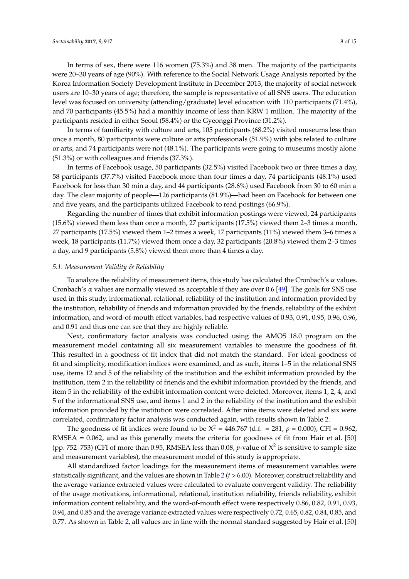In terms of sex, there were 116 women (75.3%) and 38 men. The majority of the participants were 20–30 years of age (90%). With reference to the Social Network Usage Analysis reported by the Korea Information Society Development Institute in December 2013, the majority of social network users are 10–30 years of age; therefore, the sample is representative of all SNS users. The education level was focused on university (attending/graduate) level education with 110 participants (71.4%), and 70 participants (45.5%) had a monthly income of less than KRW 1 million. The majority of the participants resided in either Seoul (58.4%) or the Gyeonggi Province (31.2%).

In terms of familiarity with culture and arts, 105 participants (68.2%) visited museums less than once a month, 80 participants were culture or arts professionals (51.9%) with jobs related to culture or arts, and 74 participants were not (48.1%). The participants were going to museums mostly alone (51.3%) or with colleagues and friends (37.3%).

In terms of Facebook usage, 50 participants (32.5%) visited Facebook two or three times a day, 58 participants (37.7%) visited Facebook more than four times a day, 74 participants (48.1%) used Facebook for less than 30 min a day, and 44 participants (28.6%) used Facebook from 30 to 60 min a day. The clear majority of people—126 participants (81.9%)—had been on Facebook for between one and five years, and the participants utilized Facebook to read postings (66.9%).

Regarding the number of times that exhibit information postings were viewed, 24 participants (15.6%) viewed them less than once a month, 27 participants (17.5%) viewed them 2–3 times a month, 27 participants (17.5%) viewed them 1–2 times a week, 17 participants (11%) viewed them 3–6 times a week, 18 participants (11.7%) viewed them once a day, 32 participants (20.8%) viewed them 2–3 times a day, and 9 participants (5.8%) viewed them more than 4 times a day.

#### *5.1. Measurement Validity & Reliability*

To analyze the reliability of measurement items, this study has calculated the Cronbach's  $\alpha$  values. Cronbach's  $\alpha$  values are normally viewed as acceptable if they are over 0.6 [\[49\]](#page-14-20). The goals for SNS use used in this study, informational, relational, reliability of the institution and information provided by the institution, reliability of friends and information provided by the friends, reliability of the exhibit information, and word-of-mouth effect variables, had respective values of 0.93, 0.91, 0.95, 0.96, 0.96, and 0.91 and thus one can see that they are highly reliable.

Next, confirmatory factor analysis was conducted using the AMOS 18.0 program on the measurement model containing all six measurement variables to measure the goodness of fit. This resulted in a goodness of fit index that did not match the standard. For ideal goodness of fit and simplicity, modification indices were examined, and as such, items 1–5 in the relational SNS use, items 12 and 5 of the reliability of the institution and the exhibit information provided by the institution, item 2 in the reliability of friends and the exhibit information provided by the friends, and item 5 in the reliability of the exhibit information content were deleted. Moreover, items 1, 2, 4, and 5 of the informational SNS use, and items 1 and 2 in the reliability of the institution and the exhibit information provided by the institution were correlated. After nine items were deleted and six were correlated, confirmatory factor analysis was conducted again, with results shown in Table [2.](#page-8-0)

The goodness of fit indices were found to be  $X^2 = 446.767$  (d.f. = 281,  $p = 0.000$ ), CFI = 0.962, RMSEA =  $0.062$ , and as this generally meets the criteria for goodness of fit from Hair et al. [\[50\]](#page-14-21) (pp. 752–753) (CFI of more than 0.95, RMSEA less than 0.08, *p*-value of  $X^2$  is sensitive to sample size and measurement variables), the measurement model of this study is appropriate.

All standardized factor loadings for the measurement items of measurement variables were statistically significant, and the values are shown in Table [2](#page-8-0) (*t* > 6.00). Moreover, construct reliability and the average variance extracted values were calculated to evaluate convergent validity. The reliability of the usage motivations, informational, relational, institution reliability, friends reliability, exhibit information content reliability, and the word-of-mouth effect were respectively 0.86, 0.82, 0.91, 0.93, 0.94, and 0.85 and the average variance extracted values were respectively 0.72, 0.65, 0.82, 0.84, 0.85, and 0.77. As shown in Table [2,](#page-8-0) all values are in line with the normal standard suggested by Hair et al. [\[50\]](#page-14-21)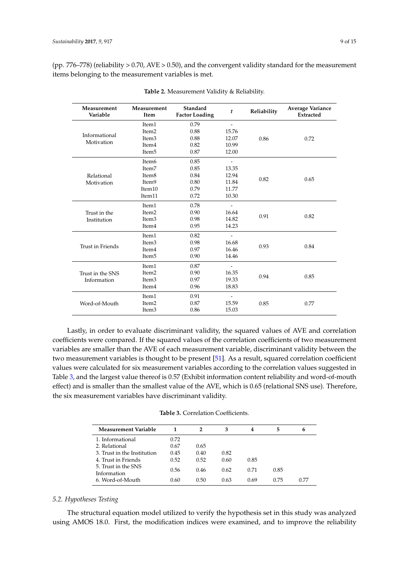<span id="page-8-0"></span>(pp. 776–778) (reliability > 0.70, AVE > 0.50), and the convergent validity standard for the measurement items belonging to the measurement variables is met.

| Measurement<br>Variable     | Measurement<br>Item | Standard<br><b>Factor Loading</b> | t                        | Reliability | <b>Average Variance</b><br>Extracted |  |
|-----------------------------|---------------------|-----------------------------------|--------------------------|-------------|--------------------------------------|--|
|                             | Item1               | 0.79                              |                          |             |                                      |  |
|                             | Item <sub>2</sub>   | 0.88                              | 15.76                    |             |                                      |  |
| Informational<br>Motivation | Item <sub>3</sub>   | 0.88                              | 12.07                    | 0.86        | 0.72                                 |  |
|                             | Item <sub>4</sub>   | 0.82                              | 10.99                    |             |                                      |  |
|                             | Item <sub>5</sub>   | 0.87                              | 12.00                    |             |                                      |  |
|                             | Item <sub>6</sub>   | 0.85                              |                          |             | 0.65                                 |  |
|                             | Item7               | 0.85                              | 13.35                    |             |                                      |  |
| Relational                  | Item <sub>8</sub>   | 0.84                              | 12.94                    | 0.82        |                                      |  |
| Motivation                  | Item9               | 0.80                              | 11.84                    |             |                                      |  |
|                             | Item10              | 0.79                              | 11.77                    |             |                                      |  |
|                             | Item11              | 0.72                              | 10.30                    |             |                                      |  |
|                             | Item1               | 0.78                              | $\overline{\phantom{m}}$ |             |                                      |  |
| Trust in the                | Item <sub>2</sub>   | 0.90                              | 16.64                    | 0.91        |                                      |  |
| Institution                 | Item <sub>3</sub>   | 0.98                              | 14.82                    |             | 0.82                                 |  |
|                             | Item <sub>4</sub>   | 0.95                              | 14.23                    |             |                                      |  |
|                             | Item1               | 0.82                              |                          |             |                                      |  |
|                             | Item <sub>3</sub>   | 0.98                              | 16.68                    |             | 0.84                                 |  |
| <b>Trust in Friends</b>     | Item <sub>4</sub>   | 0.97                              | 16.46                    | 0.93        |                                      |  |
|                             | Item <sub>5</sub>   | 0.90                              | 14.46                    |             |                                      |  |
|                             | Item1               | 0.87                              |                          | 0.94        |                                      |  |
| Trust in the SNS            | Item <sub>2</sub>   | 0.90                              | 16.35                    |             |                                      |  |
| Information                 | Item <sub>3</sub>   | 0.97                              | 19.33                    |             | 0.85                                 |  |
|                             | Item <sub>4</sub>   | 0.96                              | 18.83                    |             |                                      |  |
|                             | Item1               | 0.91                              | $\overline{\phantom{a}}$ |             |                                      |  |
| Word-of-Mouth               | Item <sub>2</sub>   | 0.87                              | 15.59                    | 0.85        | 0.77                                 |  |
|                             | Item <sub>3</sub>   | 0.86                              | 15.03                    |             |                                      |  |

**Table 2.** Measurement Validity & Reliability.

Lastly, in order to evaluate discriminant validity, the squared values of AVE and correlation coefficients were compared. If the squared values of the correlation coefficients of two measurement variables are smaller than the AVE of each measurement variable, discriminant validity between the two measurement variables is thought to be present [\[51\]](#page-14-22). As a result, squared correlation coefficient values were calculated for six measurement variables according to the correlation values suggested in Table [3,](#page-8-1) and the largest value thereof is 0.57 (Exhibit information content reliability and word-of-mouth effect) and is smaller than the smallest value of the AVE, which is 0.65 (relational SNS use). Therefore, the six measurement variables have discriminant validity.

**Table 3.** Correlation Coefficients.

<span id="page-8-1"></span>

| <b>Measurement Variable</b>        |      | 2    | 3    | 4    | 5    | 6    |
|------------------------------------|------|------|------|------|------|------|
| 1. Informational                   | 0.72 |      |      |      |      |      |
| 2. Relational                      | 0.67 | 0.65 |      |      |      |      |
| 3. Trust in the Institution        | 0.45 | 0.40 | 0.82 |      |      |      |
| 4. Trust in Friends                | 0.52 | 0.52 | 0.60 | 0.85 |      |      |
| 5. Trust in the SNS<br>Information | 0.56 | 0.46 | 0.62 | 0.71 | 0.85 |      |
| 6. Word-of-Mouth                   | 0.60 | 0.50 | 0.63 | 0.69 | 0.75 | 0.77 |

# *5.2. Hypotheses Testing*

The structural equation model utilized to verify the hypothesis set in this study was analyzed using AMOS 18.0. First, the modification indices were examined, and to improve the reliability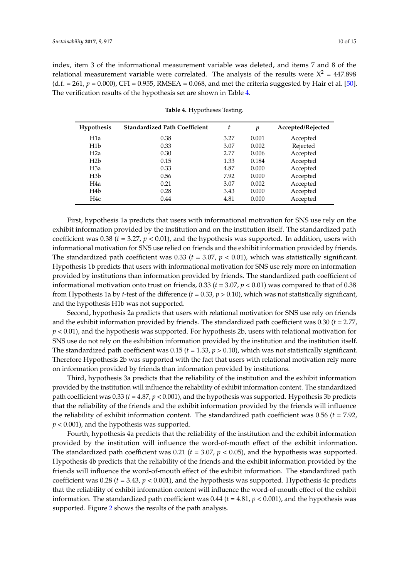index, item 3 of the informational measurement variable was deleted, and items 7 and 8 of the relational measurement variable were correlated. The analysis of the results were  $X^2 = 447.898$  $(d.f. = 261, p = 0.000)$ , CFI = 0.955, RMSEA = 0.068, and met the criteria suggested by Hair et al. [\[50\]](#page-14-21). The verification results of the hypothesis set are shown in Table [4.](#page-9-0)

<span id="page-9-0"></span>

| <b>Hypothesis</b> | <b>Standardized Path Coefficient</b> | t    | p     | Accepted/Rejected |
|-------------------|--------------------------------------|------|-------|-------------------|
| H1a               | 0.38                                 | 3.27 | 0.001 | Accepted          |
| H <sub>1</sub> b  | 0.33                                 | 3.07 | 0.002 | Rejected          |
| H <sub>2</sub> a  | 0.30                                 | 2.77 | 0.006 | Accepted          |
| H <sub>2</sub> b  | 0.15                                 | 1.33 | 0.184 | Accepted          |
| H <sub>3</sub> a  | 0.33                                 | 4.87 | 0.000 | Accepted          |
| H3b               | 0.56                                 | 7.92 | 0.000 | Accepted          |
| H4a               | 0.21                                 | 3.07 | 0.002 | Accepted          |
| H4b               | 0.28                                 | 3.43 | 0.000 | Accepted          |
| H <sub>4c</sub>   | 0.44                                 | 4.81 | 0.000 | Accepted          |

**Table 4.** Hypotheses Testing.

First, hypothesis 1a predicts that users with informational motivation for SNS use rely on the exhibit information provided by the institution and on the institution itself. The standardized path coefficient was 0.38 ( $t = 3.27$ ,  $p < 0.01$ ), and the hypothesis was supported. In addition, users with informational motivation for SNS use relied on friends and the exhibit information provided by friends. The standardized path coefficient was  $0.33$  ( $t = 3.07$ ,  $p < 0.01$ ), which was statistically significant. Hypothesis 1b predicts that users with informational motivation for SNS use rely more on information provided by institutions than information provided by friends. The standardized path coefficient of informational motivation onto trust on friends, 0.33 (*t* = 3.07, *p* < 0.01) was compared to that of 0.38 from Hypothesis 1a by *t*-test of the difference ( $t = 0.33$ ,  $p > 0.10$ ), which was not statistically significant, and the hypothesis H1b was not supported.

Second, hypothesis 2a predicts that users with relational motivation for SNS use rely on friends and the exhibit information provided by friends. The standardized path coefficient was 0.30 (*t* = 2.77, *p* < 0.01), and the hypothesis was supported. For hypothesis 2b, users with relational motivation for SNS use do not rely on the exhibition information provided by the institution and the institution itself. The standardized path coefficient was 0.15 (*t* = 1.33, *p* > 0.10), which was not statistically significant. Therefore Hypothesis 2b was supported with the fact that users with relational motivation rely more on information provided by friends than information provided by institutions.

Third, hypothesis 3a predicts that the reliability of the institution and the exhibit information provided by the institution will influence the reliability of exhibit information content. The standardized path coefficient was 0.33 (*t* = 4.87, *p* < 0.001), and the hypothesis was supported. Hypothesis 3b predicts that the reliability of the friends and the exhibit information provided by the friends will influence the reliability of exhibit information content. The standardized path coefficient was 0.56 (*t* = 7.92, *p* < 0.001), and the hypothesis was supported.

Fourth, hypothesis 4a predicts that the reliability of the institution and the exhibit information provided by the institution will influence the word-of-mouth effect of the exhibit information. The standardized path coefficient was 0.21 (*t* = 3.07, *p* < 0.05), and the hypothesis was supported. Hypothesis 4b predicts that the reliability of the friends and the exhibit information provided by the friends will influence the word-of-mouth effect of the exhibit information. The standardized path coefficient was 0.28 ( $t = 3.43$ ,  $p < 0.001$ ), and the hypothesis was supported. Hypothesis 4c predicts that the reliability of exhibit information content will influence the word-of-mouth effect of the exhibit information. The standardized path coefficient was 0.44 (*t* = 4.81, *p* < 0.001), and the hypothesis was supported. Figure [2](#page-10-0) shows the results of the path analysis.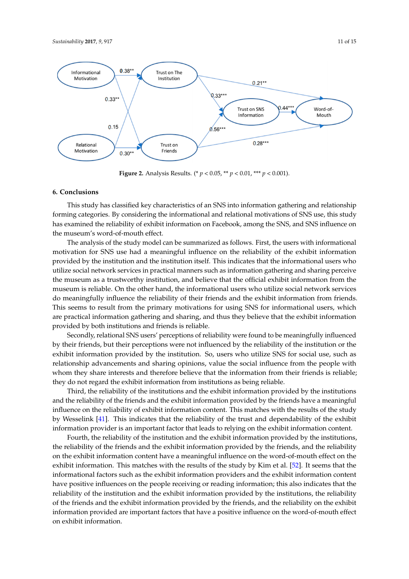<span id="page-10-0"></span>

**Figure 2.** Analysis Results. (\* *p* < 0.05, \*\* *p* < 0.01, \*\*\* *p* < 0.001).

#### **6. Conclusions**

forming categories. By considering the informational and relational motivations of SNS use, this study has examined the reliability of exhibit information on Facebook, among the SNS, and SNS influence on the museum's word-of-mouth effect. This study has classified key characteristics of an SNS into information gathering and relationship

The analysis of the study model can be summarized as follows. First, the users with informational motivation for SNS use had a meaningful influence on the reliability of the exhibit information provided by the institution and the institution itself. This indicates that the informational users who .<br>utilize social network services in practical manners such as information gathering and sharing perceive the museum as a trustworthy institution, and believe that the official exhibit information from the museum is reliable. On the other hand, the informational users who utilize social network services do meaningfully influence the reliability of their friends and the exhibit information from friends. This seems to result from the primary motivations for using SNS for informational users, which are practical information gathering and sharing, and thus they believe that the exhibit information provided by both institutions and friends is reliable.

Secondly, relational SNS users' perceptions of reliability were found to be meaningfully influenced by their friends, but their perceptions were not influenced by the reliability of the institution or the exhibit information provided by the institution. So, users who utilize SNS for social use, such as relationship advancements and sharing opinions, value the social influence from the people with whom they share interests and therefore believe that the information from their friends is reliable; they do not regard the exhibit information from institutions as being reliable.

Third, the reliability of the institutions and the exhibit information provided by the institutions and the reliability of the friends and the exhibit information provided by the friends have a meaningful influence on the reliability of exhibit information content. This matches with the results of the study by Wesselink [\[41\]](#page-14-12). This indicates that the reliability of the trust and dependability of the exhibit information provider is an important factor that leads to relying on the exhibit information content.

Fourth, the reliability of the institution and the exhibit information provided by the institutions, the reliability of the friends and the exhibit information provided by the friends, and the reliability on the exhibit information content have a meaningful influence on the word-of-mouth effect on the exhibit information. This matches with the results of the study by Kim et al. [\[52\]](#page-14-23). It seems that the informational factors such as the exhibit information providers and the exhibit information content have positive influences on the people receiving or reading information; this also indicates that the reliability of the institution and the exhibit information provided by the institutions, the reliability reliability of the friends and the exhibit information provided by the friends, and the reliability on the exhibit reliability of the institution and the institution and the institution of the state of the street of mouth offert information provided are important factors that have a positive influence on the word-of-mouth effect<br>on exhibit information on exhibit information.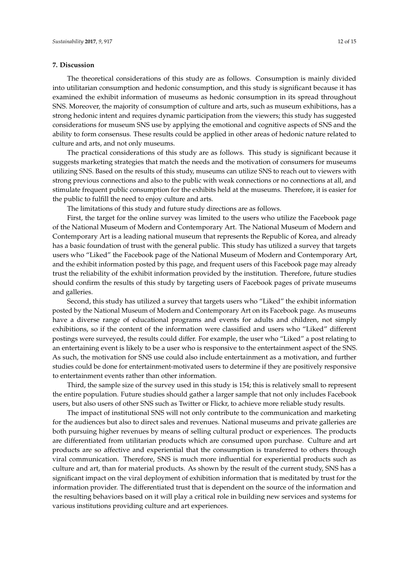#### **7. Discussion**

The theoretical considerations of this study are as follows. Consumption is mainly divided into utilitarian consumption and hedonic consumption, and this study is significant because it has examined the exhibit information of museums as hedonic consumption in its spread throughout SNS. Moreover, the majority of consumption of culture and arts, such as museum exhibitions, has a strong hedonic intent and requires dynamic participation from the viewers; this study has suggested considerations for museum SNS use by applying the emotional and cognitive aspects of SNS and the ability to form consensus. These results could be applied in other areas of hedonic nature related to culture and arts, and not only museums.

The practical considerations of this study are as follows. This study is significant because it suggests marketing strategies that match the needs and the motivation of consumers for museums utilizing SNS. Based on the results of this study, museums can utilize SNS to reach out to viewers with strong previous connections and also to the public with weak connections or no connections at all, and stimulate frequent public consumption for the exhibits held at the museums. Therefore, it is easier for the public to fulfill the need to enjoy culture and arts.

The limitations of this study and future study directions are as follows.

First, the target for the online survey was limited to the users who utilize the Facebook page of the National Museum of Modern and Contemporary Art. The National Museum of Modern and Contemporary Art is a leading national museum that represents the Republic of Korea, and already has a basic foundation of trust with the general public. This study has utilized a survey that targets users who "Liked" the Facebook page of the National Museum of Modern and Contemporary Art, and the exhibit information posted by this page, and frequent users of this Facebook page may already trust the reliability of the exhibit information provided by the institution. Therefore, future studies should confirm the results of this study by targeting users of Facebook pages of private museums and galleries.

Second, this study has utilized a survey that targets users who "Liked" the exhibit information posted by the National Museum of Modern and Contemporary Art on its Facebook page. As museums have a diverse range of educational programs and events for adults and children, not simply exhibitions, so if the content of the information were classified and users who "Liked" different postings were surveyed, the results could differ. For example, the user who "Liked" a post relating to an entertaining event is likely to be a user who is responsive to the entertainment aspect of the SNS. As such, the motivation for SNS use could also include entertainment as a motivation, and further studies could be done for entertainment-motivated users to determine if they are positively responsive to entertainment events rather than other information.

Third, the sample size of the survey used in this study is 154; this is relatively small to represent the entire population. Future studies should gather a larger sample that not only includes Facebook users, but also users of other SNS such as Twitter or Flickr, to achieve more reliable study results.

The impact of institutional SNS will not only contribute to the communication and marketing for the audiences but also to direct sales and revenues. National museums and private galleries are both pursuing higher revenues by means of selling cultural product or experiences. The products are differentiated from utilitarian products which are consumed upon purchase. Culture and art products are so affective and experiential that the consumption is transferred to others through viral communication. Therefore, SNS is much more influential for experiential products such as culture and art, than for material products. As shown by the result of the current study, SNS has a significant impact on the viral deployment of exhibition information that is meditated by trust for the information provider. The differentiated trust that is dependent on the source of the information and the resulting behaviors based on it will play a critical role in building new services and systems for various institutions providing culture and art experiences.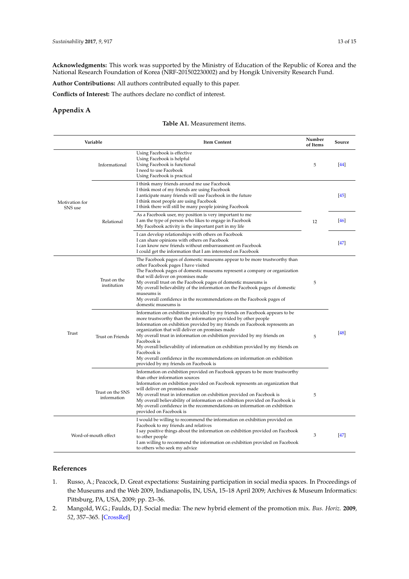**Acknowledgments:** This work was supported by the Ministry of Education of the Republic of Korea and the National Research Foundation of Korea (NRF-201502230002) and by Hongik University Research Fund.

**Author Contributions:** All authors contributed equally to this paper.

**Conflicts of Interest:** The authors declare no conflict of interest.

# <span id="page-12-3"></span><span id="page-12-2"></span>**Appendix A**

#### **Table A1.** Measurement items.

| Variable                  |                                 | <b>Item Content</b>                                                                                                                                                                                                                                                                                                                                                                                                                                                                                                                                                                             | Number<br>of Items | Source    |
|---------------------------|---------------------------------|-------------------------------------------------------------------------------------------------------------------------------------------------------------------------------------------------------------------------------------------------------------------------------------------------------------------------------------------------------------------------------------------------------------------------------------------------------------------------------------------------------------------------------------------------------------------------------------------------|--------------------|-----------|
| Motivation for<br>SNS use | Informational                   | Using Facebook is effective<br>Using Facebook is helpful<br>Using Facebook is functional<br>I need to use Facebook<br>Using Facebook is practical                                                                                                                                                                                                                                                                                                                                                                                                                                               | 5                  | 44        |
|                           | Relational                      | I think many friends around me use Facebook<br>I think most of my friends are using Facebook<br>I anticipate many friends will use Facebook in the future<br>I think most people are using Facebook<br>I think there will still be many people joining Facebook                                                                                                                                                                                                                                                                                                                                 |                    | <b>45</b> |
|                           |                                 | As a Facebook user, my position is very important to me<br>I am the type of person who likes to engage in Facebook<br>My Facebook activity is the important part in my life                                                                                                                                                                                                                                                                                                                                                                                                                     | 12                 | <b>46</b> |
|                           |                                 | I can develop relationships with others on Facebook<br>I can share opinions with others on Facebook<br>I can know new friends without embarrassment on Facebook<br>I could get the information that I am interested on Facebook                                                                                                                                                                                                                                                                                                                                                                 |                    | $[47]$    |
| Trust                     | Trust on the<br>institution     | The Facebook pages of domestic museums appear to be more trustworthy than<br>other Facebook pages I have visited<br>The Facebook pages of domestic museums represent a company or organization<br>that will deliver on promises made<br>My overall trust on the Facebook pages of domestic museums is<br>My overall believability of the information on the Facebook pages of domestic<br>museums is<br>My overall confidence in the recommendations on the Facebook pages of<br>domestic museums is                                                                                            |                    |           |
|                           | Trust on Friends                | Information on exhibition provided by my friends on Facebook appears to be<br>more trustworthy than the information provided by other people<br>Information on exhibition provided by my friends on Facebook represents an<br>organization that will deliver on promises made<br>My overall trust in information on exhibition provided by my friends on<br>Facebook is<br>My overall believability of information on exhibition provided by my friends on<br>Facebook is<br>My overall confidence in the recommendations on information on exhibition<br>provided by my friends on Facebook is | 5                  | [48]      |
|                           | Trust on the SNS<br>information | Information on exhibition provided on Facebook appears to be more trustworthy<br>than other information sources<br>Information on exhibition provided on Facebook represents an organization that<br>will deliver on promises made<br>My overall trust in information on exhibition provided on Facebook is<br>My overall believability of information on exhibition provided on Facebook is<br>My overall confidence in the recommendations on information on exhibition<br>provided on Facebook is                                                                                            | 5                  |           |
|                           | Word-of-mouth effect            | I would be willing to recommend the information on exhibition provided on<br>Facebook to my friends and relatives<br>I say positive things about the information on exhibition provided on Facebook<br>to other people<br>I am willing to recommend the information on exhibition provided on Facebook<br>to others who seek my advice                                                                                                                                                                                                                                                          | 3                  | <b>47</b> |

## **References**

- <span id="page-12-0"></span>1. Russo, A.; Peacock, D. Great expectations: Sustaining participation in social media spaces. In Proceedings of the Museums and the Web 2009, Indianapolis, IN, USA, 15–18 April 2009; Archives & Museum Informatics: Pittsburg, PA, USA, 2009; pp. 23–36.
- <span id="page-12-1"></span>2. Mangold, W.G.; Faulds, D.J. Social media: The new hybrid element of the promotion mix. *Bus. Horiz.* **2009**, *52*, 357–365. [\[CrossRef\]](http://dx.doi.org/10.1016/j.bushor.2009.03.002)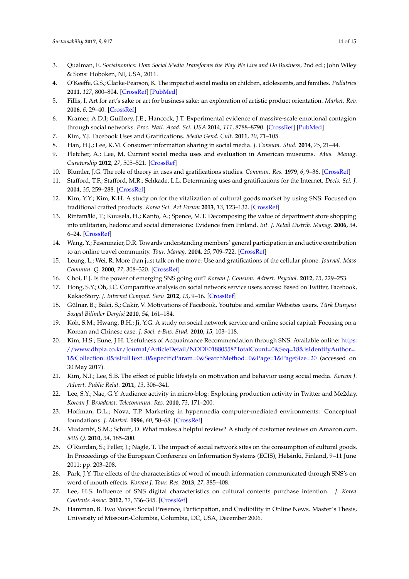- <span id="page-13-0"></span>3. Qualman, E. *Socialnomics: How Social Media Transforms the Way We Live and Do Business*, 2nd ed.; John Wiley & Sons: Hoboken, NJ, USA, 2011.
- <span id="page-13-1"></span>4. O'Keeffe, G.S.; Clarke-Pearson, K. The impact of social media on children, adolescents, and families. *Pediatrics* **2011**, *127*, 800–804. [\[CrossRef\]](http://dx.doi.org/10.1542/peds.2011-0054) [\[PubMed\]](http://www.ncbi.nlm.nih.gov/pubmed/21444588)
- <span id="page-13-2"></span>5. Fillis, I. Art for art's sake or art for business sake: an exploration of artistic product orientation. *Market. Rev.* **2006**, *6*, 29–40. [\[CrossRef\]](http://dx.doi.org/10.1362/146934706776861573)
- <span id="page-13-3"></span>6. Kramer, A.D.I; Guillory, J.E.; Hancock, J.T. Experimental evidence of massive-scale emotional contagion through social networks. *Proc. Natl. Acad. Sci. USA* **2014**, *111*, 8788–8790. [\[CrossRef\]](http://dx.doi.org/10.1073/pnas.1320040111) [\[PubMed\]](http://www.ncbi.nlm.nih.gov/pubmed/24889601)
- <span id="page-13-5"></span><span id="page-13-4"></span>7. Kim, Y.J. Facebook Uses and Gratifications. *Media Gend. Cult.* **2011**, *20*, 71–105.
- 8. Han, H.J.; Lee, K.M. Consumer information sharing in social media. *J. Consum. Stud.* **2014**, *25*, 21–44.
- <span id="page-13-6"></span>9. Fletcher, A.; Lee, M. Current social media uses and evaluation in American museums. *Mus. Manag. Curatorship* **2012**, *27*, 505–521. [\[CrossRef\]](http://dx.doi.org/10.1080/09647775.2012.738136)
- <span id="page-13-7"></span>10. Blumler, J.G. The role of theory in uses and gratifications studies. *Commun. Res.* **1979**, *6*, 9–36. [\[CrossRef\]](http://dx.doi.org/10.1177/009365027900600102)
- <span id="page-13-8"></span>11. Stafford, T.F.; Stafford, M.R.; Schkade, L.L. Determining uses and gratifications for the Internet. *Decis. Sci. J.* **2004**, *35*, 259–288. [\[CrossRef\]](http://dx.doi.org/10.1111/j.00117315.2004.02524.x)
- <span id="page-13-9"></span>12. Kim, Y.Y.; Kim, K.H. A study on for the vitalization of cultural goods market by using SNS: Focused on traditional crafted products. *Korea Sci. Art Forum* **2013**, *13*, 123–132. [\[CrossRef\]](http://dx.doi.org/10.17548/ksaf.2013.08.13.123)
- <span id="page-13-10"></span>13. Rintamäki, T.; Kuusela, H.; Kanto, A.; Spence, M.T. Decomposing the value of department store shopping into utilitarian, hedonic and social dimensions: Evidence from Finland. *Int. J. Retail Distrib. Manag.* **2006**, *34*, 6–24. [\[CrossRef\]](http://dx.doi.org/10.1108/09590550610642792)
- <span id="page-13-11"></span>14. Wang, Y.; Fesenmaier, D.R. Towards understanding members' general participation in and active contribution to an online travel community. *Tour. Manag.* **2004**, *25*, 709–722. [\[CrossRef\]](http://dx.doi.org/10.1016/j.tourman.2003.09.011)
- <span id="page-13-12"></span>15. Leung, L.; Wei, R. More than just talk on the move: Use and gratifications of the cellular phone. *Journal. Mass Commun. Q.* **2000**, *77*, 308–320. [\[CrossRef\]](http://dx.doi.org/10.1177/107769900007700206)
- <span id="page-13-13"></span>16. Choi, E.J. Is the power of emerging SNS going out? *Korean J. Consum. Advert. Psychol.* **2012**, *13*, 229–253.
- <span id="page-13-14"></span>17. Hong, S.Y.; Oh, J.C. Comparative analysis on social network service users access: Based on Twitter, Facebook, KakaoStory. *J. Internet Comput. Serv.* **2012**, *13*, 9–16. [\[CrossRef\]](http://dx.doi.org/10.7472/jksii.2012.13.6.9)
- <span id="page-13-15"></span>18. Gülnar, B.; Balci, S.; Cakir, V. Motivations of Facebook, Youtube and similar Websites users. *Türk Dunyasi Sosyal Bilimler Dergisi* **2010**, *54*, 161–184.
- <span id="page-13-16"></span>19. Koh, S.M.; Hwang, B.H.; Ji, Y.G. A study on social network service and online social capital: Focusing on a Korean and Chinese case. *J. Soci. e-Bus. Stud.* **2010**, *15*, 103–118.
- <span id="page-13-17"></span>20. Kim, H.S.; Eune, J.H. Usefulness of Acquaintance Recommendation through SNS. Available online: [https:](https://www.dbpia.co.kr/Journal/ArticleDetail/NODE01880558?TotalCount=0&Seq=18&isIdentifyAuthor=1&Collection=0&isFullText=0&specificParam=0&SearchMethod=0&Page=1&PageSize=20) [//www.dbpia.co.kr/Journal/ArticleDetail/NODE01880558?TotalCount=0&Seq=18&isIdentifyAuthor=](https://www.dbpia.co.kr/Journal/ArticleDetail/NODE01880558?TotalCount=0&Seq=18&isIdentifyAuthor=1&Collection=0&isFullText=0&specificParam=0&SearchMethod=0&Page=1&PageSize=20) [1&Collection=0&isFullText=0&specificParam=0&SearchMethod=0&Page=1&PageSize=20](https://www.dbpia.co.kr/Journal/ArticleDetail/NODE01880558?TotalCount=0&Seq=18&isIdentifyAuthor=1&Collection=0&isFullText=0&specificParam=0&SearchMethod=0&Page=1&PageSize=20) (accessed on 30 May 2017).
- <span id="page-13-18"></span>21. Kim, N.I.; Lee, S.B. The effect of public lifestyle on motivation and behavior using social media. *Korean J. Advert. Public Relat.* **2011**, *13*, 306–341.
- <span id="page-13-19"></span>22. Lee, S.Y.; Nae, G.Y. Audience activity in micro-blog: Exploring production activity in Twitter and Me2day. *Korean J. Broadcast. Telecommun. Res.* **2010**, *73*, 171–200.
- <span id="page-13-20"></span>23. Hoffman, D.L.; Nova, T.P. Marketing in hypermedia computer-mediated environments: Conceptual foundations. *J. Market.* **1996**, *60*, 50–68. [\[CrossRef\]](http://dx.doi.org/10.2307/1251841)
- <span id="page-13-21"></span>24. Mudambi, S.M.; Schuff, D. What makes a helpful review? A study of customer reviews on Amazon.com. *MIS Q.* **2010**, *34*, 185–200.
- <span id="page-13-22"></span>25. O'Riordan, S.; Feller, J.; Nagle, T. The impact of social network sites on the consumption of cultural goods. In Proceedings of the European Conference on Information Systems (ECIS), Helsinki, Finland, 9–11 June 2011; pp. 203–208.
- <span id="page-13-23"></span>26. Park, J.Y. The effects of the characteristics of word of mouth information communicated through SNS's on word of mouth effects. *Korean J. Tour. Res.* **2013**, *27*, 385–408.
- <span id="page-13-24"></span>27. Lee, H.S. Influence of SNS digital characteristics on cultural contents purchase intention. *J. Korea Contents Assoc.* **2012**, *12*, 336–345. [\[CrossRef\]](http://dx.doi.org/10.5392/JKCA.2012.12.07.336)
- <span id="page-13-25"></span>28. Hamman, B. Two Voices: Social Presence, Participation, and Credibility in Online News. Master's Thesis, University of Missouri-Columbia, Columbia, DC, USA, December 2006.